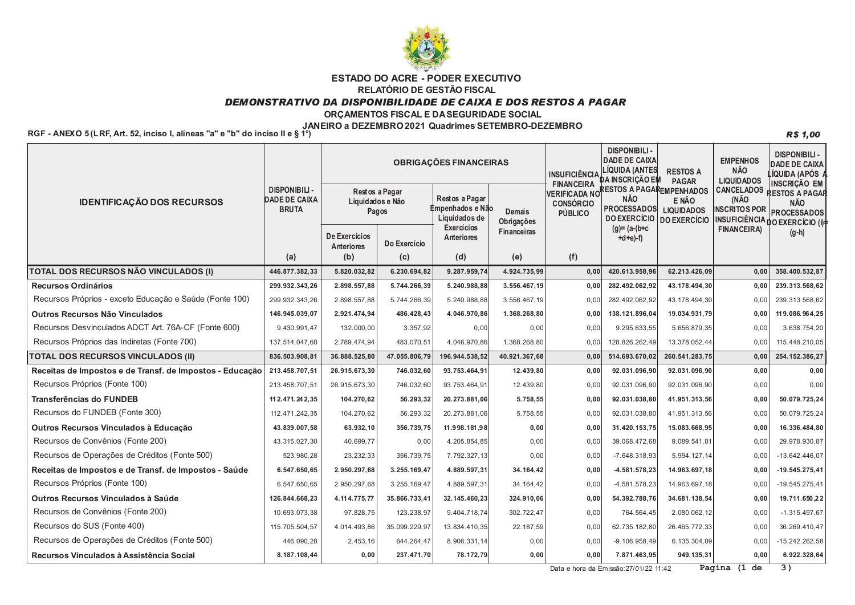

**FSTADO DO ACRE - PODER EXECUTIVO** 

RELATÓRIO DE GESTÃO FISCAL

## **DEMONSTRATIVO DA DISPONIBILIDADE DE CAIXA E DOS RESTOS A PAGAR**

ORCAMENTOS FISCAL E DA SEGURIDADE SOCIAL

### JANEIRO a DEZEMBRO 2021 Quadrimes SETEMBRO-DEZEMBRO

RGF - ANEXO 5 (LRF. Art. 52. inciso I. alíneas "a" e "b" do inciso II e § 19

**DISPONIBILI-DISPONIBILI-DADE DE CAIXA OBRIGAÇÕES FINANCEIRAS EMPENHOS** DADE DE CAIXA LÍQUIDA (ANTES **NÃO** RESTOS A ÍQUIDA (APÓS **INSUFICIÊN CIA** DA INSCRIÇÃO EM **PAGAR LIQUIDADOS** INSCRICÃO EM **FINANCEIRA ESTOS A PAGAREMPENHADOS DISPONIBILI CANCELADOS** Restos a Pagar **RESTOS A PAGAR VERIFICADA NO** Restos a Pagar **NÃO DADE DE CAIXA**  $F NÅO$ (NÃO **IDENTIFICAÇÃO DOS RECURSOS** Liquidados e Não **NÃO CONSÓRCIO** Empenhados e Não **PROCESSADOS INSCRITOS POR BRUTA LIQUIDADOS** Pagos Demais PÚBLICO **PROCESSADOS** INSUFICIÊNCIA DO EXERCÍCIO (i): Liquidados de **DO EXERCÍCIO** DO EXERCÍCIO Obrigações Exercícios  $(g) = (a-(b+c))$ **FINANCEIRA Financeiras**  $(g-h)$ De Exercícios **Anteriores**  $+ d + e$ )-f) Do Exercício Anteriores  $(a)$  $(b)$  $(d)$  $(e)$  $(f)$  $(c)$ TOTAL DOS RECURSOS NÃO VINCULADOS (I) 446.877.382.33 5.820.032.82 6.230.694.82 9.287.959.74 4.924.735.99  $0.00$ 420.613.958.96 62.213.426.09  $0.00$  358.400.532.87 299.932.343.26 Recursos Ordinários 2.898.557.88 5.744.266.39 5.240.988.88 3.556.467,19  $0.00$ 282.492.062.92 43.178.494.30  $0.00$ 239.313.568.62 Recursos Próprios - exceto Educação e Saúde (Fonte 100) 299.932.343.26 2.898.557.88 5.744.266.39 5.240.988.88 3.556.467.19 282.492.062.92 43.178.494.30 239.313.568.62  $0.00$  $0.00$ Outros Recursos Não Vinculados 146.945.039.07 2.921.474.94 486.428.43 4.046.970.86 1.368.268.80  $0.00$ 138.121.896.04 19.034.931.79  $0.00$ 119.086.964.25 Recursos Desvinculados ADCT Art. 76A-CF (Fonte 600) 9.430.991.47 132,000.00 3.357.92 9.295.633.55 5.656.879.35 3.638.754.20  $0.00$  $0.00$  $0.00$  $0.00$ Recursos Próprios das Indiretas (Fonte 700) 137.514.047.60 2.789.474.94 483.070.51 4.046.970.86 1.368.268.80  $0.00$ 128.826.262.49 13.378.052.44  $0.00$ 115.448.210.05 47.055.806.79 40.921.367.68 **TOTAL DOS RECURSOS VINCULADOS (II)** 836.503.908.81 36.888.525.80 196.944.538.52  $0.00$ 514.693.670.02 260.541.283.75  $0.00$ 254.152.386.27 93.753.464.91 92.031.096.90  $0.00$ Receitas de Impostos e de Transf. de Impostos - Educação 213.458.707.51 26.915.673.30 746.032.60 12.439.80  $0.00$ 92.031.096.90  $0.00$ Recursos Próprios (Fonte 100) 213.458.707.51 26.915.673.30 746.032.60 93.753.464.91 12.439.80 92.031.096.90 92.031.096.90  $0.00$  $0.00$  $0.00$ Transferências do FUNDEB 20.273.881.06 50.079.725.24 11 2 471 24 2 35 104.270.62 56.293.32 5.758.55  $0.00$ 92.031.038.80 41.951.313.56  $0.00$ Recursos do FUNDEB (Fonte 300) 112.471.242.35 104.270.62 56.293.32 20.273.881.06 5.758.55  $0.00$ 92.031.038.80 41.951.313.56  $0.00$ 50.079.725.24 Outros Recursos Vinculados à Educação 43.839.007,58 63.932,10 356.739,75 11.998.181,98  $0,00$  $0,00$ 31.420.153,75 15.083.668,95  $0,00$ 16.336.484,80 Recursos de Convênios (Fonte 200) 43 315 027 30 40.699.77 4.205.854.85  $0.00$  $0.00$ 39.068.472.68  $9.089.541.8'$ 29.978.930.87  $0.00$  $0.00$ Recursos de Operações de Créditos (Fonte 500) 523.980.28 23.232.33 356.739.75 7.792.327.13  $0.00$  $0.00$  $-7.648.318.93$ 5.994.127.14  $0.00$  $-13.642.446.07$ Receitas de Impostos e de Transf, de Impostos - Saúde 6.547.650.65 2.950.297.68 3.255.169.47 4.889.597.31 34.164.42  $0.00$  $-4.581.578.23$ 14.963.697.18  $0.00$  $-19.545.275.4$ Recursos Próprios (Fonte 100) 6.547.650.65 2.950.297.68 3.255.169.47 4.889.597.31 34.164.42  $0.00$  $-4.581.578.23$ 14.963.697.18  $0.00$  $-19.545.275.4$ Outros Recursos Vinculados à Saúde 126.844.668.23 4.114.775,77 35.866.733,41 32.145.460,23 324.910,06 54.392.788,76 34.681.138,54 19.711.650,22  $0,00$  $0,00$ Recursos de Convênios (Fonte 200) 10 693 073 38 97 828 75 123 238 97 9 404 718 74 302 722 47  $0<sub>0</sub>$ 764 564 45 2 080 062 12  $0.00$  $-1.315.4976$ Recursos do SUS (Fonte 400) 115 705 504 57 4.014.493.86 35 099 229 97 13.834.410.35 22 187 59  $0.00$ 62.735.182.80 26.465.772.33  $0.00$ 36.269.410.47 Recursos de Operações de Créditos (Fonte 500)  $-15.242.262,58$ 446 090 28 2.453,16 644.264,47 8.906.331,14  $0,00$  $0,00$  $-9.106.958,49$ 6 135 304 09  $0.00$ Recursos Vinculados à Assistência Social 8.187.108.44  $0.00$ 237.471.70 78.172.79  $0.00$ 7.871.463.95 949.135.31  $0.00$ 6.922.328,64  $0.00$ 

> Pagina  $(1)$  de Data e hora da Emissão: 27/01/22 11:42

**R\$ 1,00** 

 $\overline{3}$ )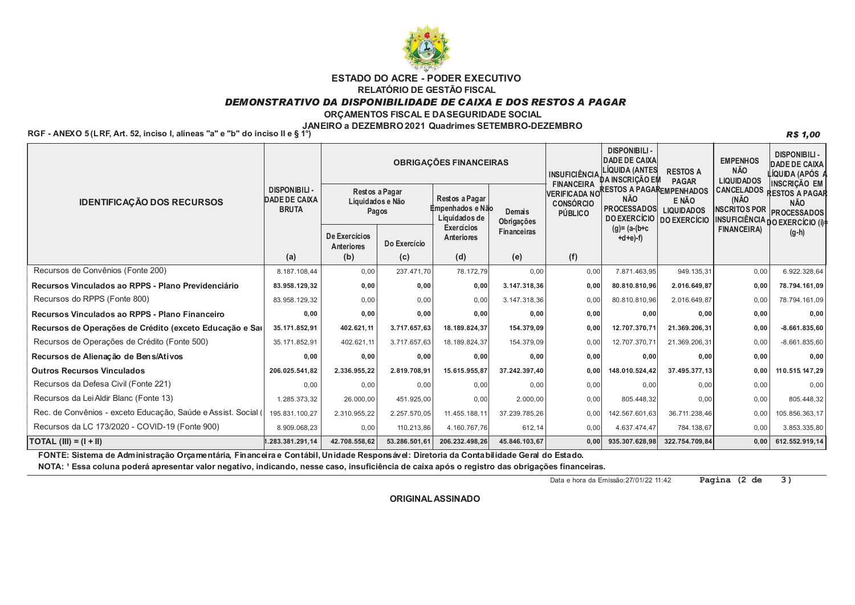

# **ESTADO DO ACRE - PODER EXECUTIVO**

RELATÓRIO DE GESTÃO FISCAL

## **DEMONSTRATIVO DA DISPONIBILIDADE DE CAIXA E DOS RESTOS A PAGAR**

ORÇAMENTOS FISCAL E DA SEGURIDADE SOCIAL

### JANEIRO a DEZEMBRO 2021 Quadrimes SETEMBRO-DEZEMBRO

RGF - ANEXO 5 (LRF. Art. 52. inciso I. alíneas "a" e "b" do inciso II e § 19

**DISPONIBILI-DISPONIBILI-DADE DE CAIXA OBRIGAÇÕES FINANCEIRAS EMPENHOS** DADE DE CAIXA LÍQUIDA (ANTES **NÃO** RESTOS A ÍQUIDA (APÓS) **INSUFICIÊN CIA** DA INSCRIÇÃO EM PAGAR **LIQUIDADOS INSCRICÃO EM FINANCEIRA** DISPONIBILI -**RESTOS A PAGAREMPENHADOS CANCELADOS** Restos a Pagar **VERIFICADA NO RESTOS A PAGAR** Restos a Pagar **NÃO DADE DE CAIXA**  $F NÅO$ (NÃO **IDENTIFICAÇÃO DOS RECURSOS** Liquidados e Não **NÃO CONSÓRCIO** PROCESSADOS | I IQUIDADOS Empenhados e Não **INSCRITOS POR BRUTA** Pagos Demais PÚBLICO **PROCESSADOS** INSUFICIÊNCIA DO EXERCÍCIO (i)+ Liquidados de **DO EXERCÍCIO DO EXERCÍCIO** Obrigações Exercícios  $(g) = (a-(b+c))$ **FINANCEIRA) Financeiras**  $(g-h)$ De Exercícios **Anteriores**  $+ d + e$ )-f) Do Exercício Anteriores  $(a)$  $(b)$  $(c)$  $(d)$  $(e)$  $(f)$ Recursos de Convênios (Fonte 200) 8.187.108.44  $0.00$ 237.471.70 78.172.79  $0.00$  $0.00$ 7.871.463,95 949.135.31  $0.00$ 6.922.328.64 Recursos Vinculados ao RPPS - Plano Previdenciário 83.958.129.32 3.147.318,36  $0.00$ 80.810.810,96 2.016.649,87 78.794.161,09  $0,00$  $0.00$  $0.00$  $0,00$ Recursos do RPPS (Fonte 800) 83.958.129.32  $0.00$  $0.00$  $0.00$ 3.147.318.36  $0.00$ 80.810.810.96 2.016.649.87  $0.00$ 78.794.161.09 Recursos Vinculados ao RPPS - Plano Financeiro  $0.00$  $0.00$  $0.00$  $0.00$  $0.00$  $0.00$  $0.00$  $0.00$  $0.00$  $0.00$ Recursos de Operações de Crédito (exceto Educação e Sai 35.171.852.91 402.621.11 3.717.657.63 18.189.824.37 154,379.09 12.707.370.71 21.369.206.31  $-8.661.835.60$  $0.00$  $0.00$ Recursos de Operações de Crédito (Fonte 500) 35.171.852.91 402.621.11 3.717.657.63 18.189.824.37 154.379.09  $0.00$ 12.707.370.71 21.369.206.31  $0.00$  $-8.661.835.60$ Recursos de Alienação de Bens/Ativos  $0.00$  $0.00$  $0.00$  $0.00$  $0.00$  $0.00$  $0.00$  $0.00$  $0.00$  $0.00$ 110.515.147.29 **Outros Recursos Vinculados** 206.025.541.82 2.336.955.22 2.819.708.91 15.615.955.87 37.242.397.40 148.010.524.42 37.495.377.13  $0.00$  $0.00$ Recursos da Defesa Civil (Fonte 221)  $0.00$  $0.00$  $0.00$  $0.00$  $0.00$  $0.00$  $0.00$  $0.00$  $0.00$  $0.00$ Recursos da Lei Aldir Blanc (Fonte 13) 1 285 373 32 26,000.00 451 925 00  $2,000,00$  $0<sub>0</sub>$ 805.448.32 805.448.32  $0.00$  $0.00$  $0.00$ Rec. de Convênios - exceto Educação, Saúde e Assist. Social ( 195.831.100.27 2.310.955.22 2.257.570.05 11.455.188.11 37.239.785.26  $0.00$ 142.567.601.63 36.711.238.46  $0.00$ 105.856.363.17 Recursos da LC 173/2020 - COVID-19 (Fonte 900) 3.853.335,80 8.909.068,23  $0,00$ 110.213,86 4.160.767,76 612,14  $0,00$ 4.637.474,47 784.138,67  $0,00$ TOTAL (III) =  $(I + II)$ .283.381.291.14 45.846.103.67 322.754.709.84 42.708.558.62 53.286.501.61 206.232.498.26  $0.00$ 935.307.628.98  $0.00$ 612.552.919.14

FONTE: Sistema de Administração Orçamentária. Financeira e Contábil. Unidade Responsável: Diretoria da Contabilidade Geral do Estado.

NOTA: 1 Essa coluna poderá apresentar valor negativo, indicando, nesse caso, insuficiência de caixa após o registro das obrigações financeiras.

Data e hora da Emissão 27/01/22 11:42 Pagina (2 de  $\overline{3)}$ 

**ORIGINAL ASSINADO** 

**R\$ 1,00**